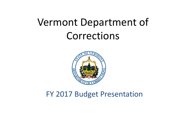

# FY 2017 Budget Presentation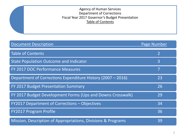### Agency of Human Services Department of Corrections Fiscal Year 2017 Governor's Budget Presentation Table of Contents

| <b>Document Description</b>                                  | Page Number |
|--------------------------------------------------------------|-------------|
| <b>Table of Contents</b>                                     |             |
| <b>State Population Outcome and Indicator</b>                | 3           |
| <b>FY 2017 DOC Performance Measures</b>                      | 7           |
| Department of Corrections Expenditure History (2007 - 2016)  | 23          |
| <b>FY 2017 Budget Presentation Summary</b>                   | 26          |
| FY 2017 Budget Development Forms (Ups and Downs Crosswalk)   | 29          |
| FY2017 Department of Corrections - Objectives                | 34          |
| <b>FY2017 Program Profile</b>                                | 36          |
| Mission, Description of Appropriations, Divisions & Programs | 39          |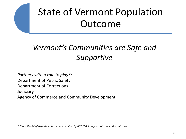# State of Vermont Population Outcome

# *Vermont's Communities are Safe and Supportive*

*Partners with a role to play\*:*  Department of Public Safety Department of Corrections **Judiciary** Agency of Commerce and Community Development

*\* This is the list of departments that are required by ACT 186 to report data under this outcome*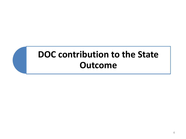# **DOC contribution to the State Outcome**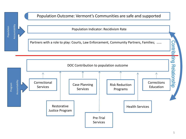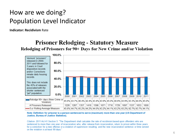# How are we doing? Population Level Indicator

**Indicator: Recidivism** Rate

## **Prisoner Relodging - Statutory Measure** Relodging of Prisoners for 90+ Days for New Crime and/or Violation



### Note: Definition for prisoner is a person sentenced to serve (maximum) more than one year (US Department of Justice, Bureau of Justice Statistics).

Citation-2011 Act 41 Section 5: "The Department shall calculate the rate of recidivism based upon offenders who are sentenced to more than one year of incarceration who, after release from incarceration, return to prison within three years for a conviction for a new offense or a violation of supervision resulting, and the new incarceration sentence or time served on the violation is at least 90 days."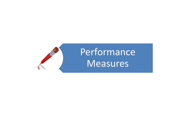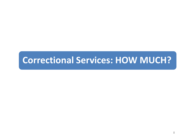# **Correctional Services: HOW MUCH?**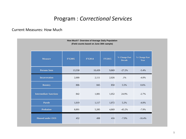## Program : *Correctional Services*

### Current Measures: How Much

| How Much? Overview of Average Daily Population<br>(Field counts based on June 30th sample) |               |               |               |                                |                              |  |  |  |  |
|--------------------------------------------------------------------------------------------|---------------|---------------|---------------|--------------------------------|------------------------------|--|--|--|--|
| <b>Measure</b>                                                                             | <b>FY2005</b> | <b>FY2014</b> | <b>FY2015</b> | % Change Past<br><b>Decade</b> | % Change Past<br><b>Year</b> |  |  |  |  |
| <b>Persons Seen</b>                                                                        | 13,558        | 10,439        | 9,869         | $-27.2%$                       | $-5.4%$                      |  |  |  |  |
| <b>Incarceration</b>                                                                       | 2,000         | 2,111         | 2,026         | $.1\%$                         | $-4.0\%$                     |  |  |  |  |
| <b>Reentry</b>                                                                             | 806           | 845           | 850           | 5.5%                           | 0.6%                         |  |  |  |  |
| <b>Intermediate Sanctions</b>                                                              | 842           | 1,081         | 1,052         | 24.9%                          | $-2.7%$                      |  |  |  |  |
| <b>Parole</b>                                                                              | 1,019         | 1,117         | 1,072         | 5.2%                           | $-4.0\%$                     |  |  |  |  |
| <b>Probation</b>                                                                           | 8,891         | 5,285         | 4,869         | $-45.2%$                       | $-7.9\%$                     |  |  |  |  |
| <b>Housed under OOS</b>                                                                    | 452           | 498           | 416           | $-7.9%$                        | $-16.4%$                     |  |  |  |  |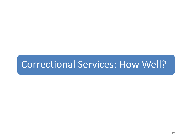# Correctional Services: How Well?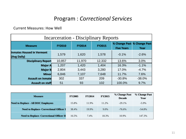## Program : *Correctional Services*

Current Measures: How Well

| <b>Incarceration - Disciplinary Reports</b>     |               |               |               |                                                  |          |  |  |  |  |  |  |
|-------------------------------------------------|---------------|---------------|---------------|--------------------------------------------------|----------|--|--|--|--|--|--|
| <b>Measure</b>                                  | <b>FY2010</b> | <b>FY2014</b> | <b>FY2015</b> | % Change Past % Change Past<br><b>Five Years</b> | Year     |  |  |  |  |  |  |
| <b>Inmates Housed in Vermont</b><br>(Avg Daily) | 1,579         | 1,620         | 1,578         | $-0.1%$                                          | $-2.6%$  |  |  |  |  |  |  |
| <b>Disciplinary Report</b>                      | 10,857        | 11,970        | 12,332        | 13.6%                                            | 3.0%     |  |  |  |  |  |  |
| <b>Major A</b>                                  | 1,207         | 1,420         | 1,404         | 16.3%                                            | $-1.1%$  |  |  |  |  |  |  |
| <b>Major B</b>                                  | 2,804         | 3,443         | 3,280         | 17.0%                                            | $-4.7%$  |  |  |  |  |  |  |
| <b>Minor</b>                                    | 6,846         | 7,107         | 7,648         | 11.7%                                            | 7.6%     |  |  |  |  |  |  |
| <b>Assault on inmate</b>                        | 302           | 337           | 209           | $-30.8%$                                         | $-38.0%$ |  |  |  |  |  |  |
| <b>Assault on staff</b>                         | 51            | 93            | 102           | 100.0%                                           | 9.7%     |  |  |  |  |  |  |

| <b>Measure</b>                                  | <b>FY2005</b> | <b>FY2014</b> | <b>FY2015</b> | % Change Past<br><b>Decade</b> | % Change Past<br>Year |
|-------------------------------------------------|---------------|---------------|---------------|--------------------------------|-----------------------|
| <b>Need to Replace - All DOC Employees</b>      | 15.8%         | 11.9%         | 11.2%         | $-29.1\%$                      | $-5.9\%$              |
| <b>Need to Replace- Correctional Officer I</b>  | 38.4%         | 19.9%         | 9.0%          | $-76.6\%$                      | $-54.8\%$             |
| <b>Need to Replace- Correctional Officer II</b> | 16.5%         | 7.4%          | 18.3%         | 10.9%                          | 147.3%                |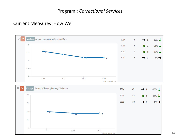## Program : *Correctional Services*

## Current Measures: How Well



12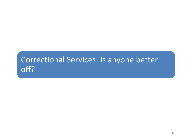# Correctional Services: Is anyone better off?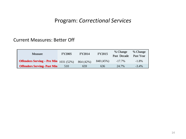## Program: *Correctional Services*

## Current Measures: Better Off

| Measure                                        | <b>FY2005</b> | <b>FY2014</b> | <b>FY2015</b> | % Change<br>Past Decade | % Change<br>Past Year |
|------------------------------------------------|---------------|---------------|---------------|-------------------------|-----------------------|
| <b>Offenders Serving – Pre Min</b> $1031(52%)$ |               | 864 (42%)     | 848 (45%)     | $-17.7\%$               | $-1.8\%$              |
| <b>Offenders Serving- Past Min</b>             | 510           | 659           | 636           | 24.7%                   | $-3.4\%$              |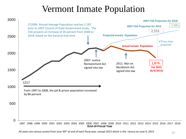# Vermont Inmate Population

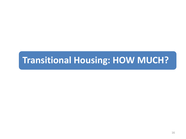# **Transitional Housing: HOW MUCH?**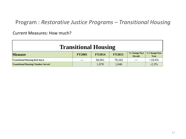## Program : *Restorative Justice Programs – Transitional Housing*

### Current Measures: How much?

| <b>Transitional Housing</b>               |               |               |               |                                |                       |  |  |  |  |  |
|-------------------------------------------|---------------|---------------|---------------|--------------------------------|-----------------------|--|--|--|--|--|
| <b>Measure</b>                            | <b>FY2005</b> | <b>FY2014</b> | <b>FY2015</b> | % Change Past<br><b>Decade</b> | % Change Past<br>Year |  |  |  |  |  |
| <b>Transitional Housing (bed-days)</b>    | $---$         | 66,061        | 78,342        | $---$                          | $+18.6%$              |  |  |  |  |  |
| <b>Transitional Housing/Number Served</b> |               | 1,070         | 1,046         |                                | $-2.2%$               |  |  |  |  |  |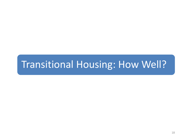# Transitional Housing: How Well?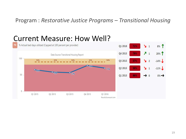## Program : *Restorative Justice Programs – Transitional Housing*

#### % Actual bed days utilized (Capped at 100 percent per provider)  $\sqrt{1}$ Q1 2016 71%  $8%$  1  $71$ 20% Q4 2015 79% Data Source: Transitional Housing Report 100 90% 90% 90% 90% 90% Q3 2015  $\frac{1}{2}$  $-14\%$ 57% 79%  $\sqrt{1}$ Q2 2015 59%  $-11\%$ о 71%  $0.66%$ 59% 57% 50 Q1 2015 66%  $\rightarrow$  0  $0\%$   $\rightarrow$  $0 -$ Q1 2015 02 2015 03 2015 Q4 2015 01 2016 ResultsScorecard.com

# Current Measure: How Well?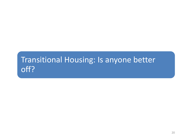# Transitional Housing: Is anyone better off?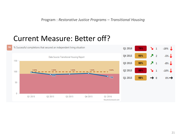Program : *Restorative Justice Programs – Transitional Housing*

# Current Measure: Better off?

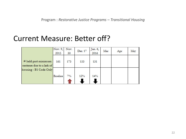# Current Measure: Better off?

|                                                  | Nov. 9,<br>2015 | Nov.<br>30 | Dec. 17 | Jan. 6,<br>2016 | Mar | Apr | May |
|--------------------------------------------------|-----------------|------------|---------|-----------------|-----|-----|-----|
| # held past minimum<br>sentence due to a lack of | 161             | 173        | 153     | 131             |     |     |     |
| housing - B1 Code Only                           | <b>Baseline</b> | 7%         | 12%     | 14%             |     |     |     |
|                                                  |                 |            |         |                 |     |     |     |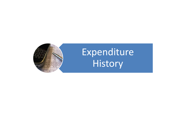

# Expenditure **History**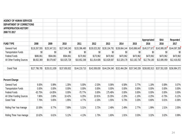| <b>AGENCY OF HUMAN SERVICES</b> |               |               |               |               |               |               |               |               |               |               |               |
|---------------------------------|---------------|---------------|---------------|---------------|---------------|---------------|---------------|---------------|---------------|---------------|---------------|
| DEPARTMENT OF CORRECTIONS       |               |               |               |               |               |               |               |               |               |               |               |
| <b>APPROPRIATION HISTORY</b>    |               |               |               |               |               |               |               |               |               |               |               |
| 2008 TO 2017                    |               |               |               |               |               |               |               |               |               |               |               |
|                                 |               |               |               |               |               |               |               |               | Appropriated  | <b>BAA</b>    | Requested     |
| <b>FUND TYPE</b>                | 2008          | 2009          | 2010          | 2011          | 2012          | 2013          | 2014          | 2015          | 2016          | 2016          | 2017          |
| <b>General Fund</b>             | \$118,267,555 | \$125,347,311 | \$127,040,243 | \$133,396,480 | \$130,023,262 | \$130,104,791 | \$138,664,144 | \$143,886,643 | \$145,577,671 | \$143,995,007 | \$144,097,358 |
| <b>Transportation Funds</b>     | \$0           | \$0           | \$0           | \$0           | \$0           | \$0           | \$0           | \$0           | \$0           | \$0           | \$0           |
| <b>Federal Funds</b>            | \$686,861     | \$584,861     | \$584,861     | \$170,962     | \$170,962     | \$470,962     | \$470,962     | \$470,962     | \$470,962     | \$470,962     | \$470,962     |
| All Other Funding Sources       | \$8,832,369   | \$9,079,667   | \$10,025,728  | \$10,652,268  | \$11,814,606  | \$13,628,587  | \$13,329,178  | \$13,182,734  | \$12,754,180  | \$13,085,959  | \$12,416,052  |
| <b>Grand Total</b>              | \$127,786,785 | \$135,011,839 | \$137,650,832 | \$144,219,710 | \$142,008,830 | \$144,204,340 | \$152,464,284 | \$157,540,339 | \$158,802,813 | \$157,551,928 | \$156,984,372 |
| <b>Percent Change</b>           |               |               |               |               |               |               |               |               |               |               |               |
| General Fund                    | 9.00%         | 5.99%         | 1.35%         | 5.00%         | $-2.53%$      | 0.06%         | 6.58%         | 3.77%         | 1.18%         | 0.08%         | 0.07%         |
| <b>Transportation Funds</b>     | 0.00%         | 0.00%         | $0.00\%$      | 0.00%         | 0.00%         | 0.00%         | 0.00%         | 0.00%         | 0.00%         | 0.00%         | 0.00%         |
| <b>Federal Funds</b>            | $-63.75%$     | $-14.85%$     | $0.00\%$      | $-70.77%$     | 0.00%         | 175.48%       | 0.00%         | 0.00%         | 0.00%         | 0.00%         | 0.00%         |
| All Other Funding Sources       | 7.86%         | 2.80%         | 10.42%        | 6.25%         | 10.91%        | 15.35%        | $-2.20%$      | $-1.10%$      | $-3.25%$      | $-0.73%$      | $-5.12%$      |
| <b>Grand Total</b>              | 7.76%         | 5.65%         | 1.95%         | 4.77%         | $-1.53%$      | 1.55%         | 5.73%         | 3.33%         | 0.80%         | 0.01%         | $-0.36%$      |
| Rolling Five Year Average       | 10.58%        | 8.77%         | 7.89%         | 5.31%         | 3.72%         | 2.48%         | 2.49%         | 2.77%         | 1.99%         | 1.51%         | 2.05%         |
| Rolling Three Year Average      | 10.62%        | 6.61%         | 5.12%         | 4.13%         | 1.73%         | 1.60%         | 1.91%         | 3.53%         | 3.32%         | 3.02%         | 0.99%         |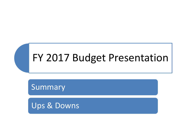# FY 2017 Budget Presentation

Summary

Ups & Downs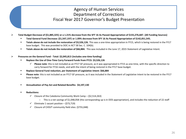## Agency of Human Services Department of Corrections Fiscal Year 2017 Governor's Budget Presentation

**Total Budget Decrease of (\$1,885,325) or a 1.21% decrease from the SFY 16 As Passed Appropriation of \$155,276,687. (All Funding Sources)**

- **Total General Fund Decrease: (\$1,547,197) or 1.09% decrease from SFY 16 As Passed Appropriation of \$142,051,545.**
- **Totals above do not include the restoration of \$3,526,126.** This was a one-time appropriation in FY15, which is being restored in the FY17 base budget. This was provided to DOC in ACT 58 Sec. C. 104(b).
- **Totals above do not include the restoration of \$66,884.** This was included in the June 17, 2015 Statement of Legislative Intent.

### **Pressures on the General Fund - Total: \$2,045,813 (includes one-time funding)**

- **Replace the Use of One-Time Carry Forward Funds from FY15: \$3,526,126**
	- **Please note**: this is not included as an FY17 GF pressure, as it was appropriated in FY15 as one-time, with the specific direction to carry forward for FY16 needs, and with the intent of being restored in the FY17 base budget.
- **Replace General Fund reduction, per Statement of Legislative Intent: \$66,884**
- **Please note**: this is not included as an FY17 GF pressure, as it was included in the Statement of Legislative Intent to be restored in the FY17 base budget.
- **Annualization of Pay Act and Related Benefits: \$4,197,130**
- **Reductions:** 
	- $\checkmark$  Closure of the Caledonia Community Work Camp (\$2,514,263)
		- This is a net savings of \$1,048,058 (the corresponding up is in OOS appropriation), and includes the reduction of 22 staff
	- $\checkmark$  Eliminate 1 vacant position (\$73,719)
	- $\checkmark$  Closure of CHSVT community field sites: (\$755,048)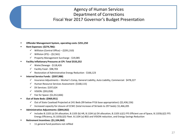## Agency of Human Services Department of Corrections Fiscal Year 2017 Governor's Budget Presentation

- **Offender Management System, operating costs: \$251,250**
- **Rent Expenses: (\$274,786):**
	- $\checkmark$  Williston (Central Office) (\$291,310)
	- $\checkmark$  Williston (IFS) (\$2,561)
	- $\checkmark$  Property Management Surcharge \$19,085
- **Facility Inflationary Pressures at CPI: Total \$533,252**
	- $\checkmark$  Water/Sewage \$118,426
	- $\checkmark$  Facility Food \$98,703
	- $\checkmark$  Restoration of Administrative Energy Reduction \$166,123
- **Internal Service Funds: (\$597,988)** 
	- $\checkmark$  Insurance Adjustments Worker's Comp, General Liability, Auto Liability, Commercial: \$478,227
	- $\checkmark$  Human Resource Services Assessment: (\$168,115)
	- $\nu$  DII Services: \$197,624
	- $V$  VISION: (\$93,058)
	- $\checkmark$  Fee for Space: (\$1,012,666)
- **Out of State Beds: (\$969,951)**
	- Out of State Caseload Projected at 241 Beds (99 below FY16 base appropriation): (\$2,436,156)
	- $\checkmark$  Increased capacity for closure of CCWC (total increase of 56 beds to 297 beds): \$1,466,205
- **Administrative Adjustments: (\$844,062)**
	- $\checkmark$  Includes B.1103 (a) DII allocation, B.1103 (b) HR, B.1104 (a) DII allocation, B.1103 (c)(1) FFS Efficient use of Space, B.1103(c)(2) FFS Energy Efficiency, B.1103(c)(3) Fleet. B.1104 (a) BGS and VISION reduction, and Energy Savings Reduction
- **Retirement Incentives: (\$1,104,060)**
	- 11 general fund positions not refilled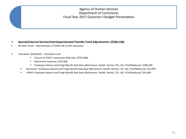### Agency of Human Services Department of Corrections Fiscal Year 2017 Governor's Budget Presentation

### **Special/Internal Service/Interdepartmental Transfer Fund Adjustments: (\$338,128)**

- All other funds total decrease of \$338,128 (2.56% reduction)
- **Education: (\$444,962) Education Fund** 
	- $\checkmark$  Closure of CHSVT community field sites: (\$755,048)
	- $\checkmark$  Retirement Incentive: (\$79,304)
	- Employee Salaries and Fringe Benefit Rate Base (Retirement, Health, Dental, LTD, Life, FICA/Medicare): \$389,390
	- Recreation: Employee Salaries and Fringe Benefit Rate Base (Retirement, Health, Dental, LTD, Life, FICA/Medicare): \$14,994
	- VOWP: Employee Salaries and Fringe Benefit Rate Base (Retirement, Health, Dental, LTD, Life, FICA/Medicare): \$91,840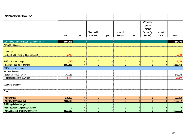| <b>FY17 Department Request - DOC</b>          |              |              |                     |              |                |                  |                  |               |              |
|-----------------------------------------------|--------------|--------------|---------------------|--------------|----------------|------------------|------------------|---------------|--------------|
|                                               |              |              |                     |              |                |                  |                  |               |              |
|                                               |              |              |                     |              |                |                  | <b>VT Health</b> |               |              |
|                                               |              |              |                     |              |                |                  | <b>Connect</b>   |               |              |
|                                               |              |              |                     |              |                |                  | (Portion         |               |              |
|                                               |              |              | <b>State Health</b> |              | Internal       |                  | <b>Funded By</b> | <b>Invmnt</b> |              |
|                                               | GF           | <b>SF</b>    | <b>Care Res</b>     | <b>IdptT</b> | <b>Service</b> | <b>FF</b>        | SHCRF)           | <b>GCF</b>    | Total        |
| Corrections - Administration - As Passed FY16 | 2,554,592    |              |                     |              |                |                  |                  |               | 2,554,592    |
| <b>Personal Services:</b>                     |              |              |                     |              |                |                  |                  |               |              |
|                                               |              |              |                     |              |                |                  |                  |               |              |
| <b>Operating:</b>                             |              |              |                     |              |                |                  |                  |               |              |
| 2015 Act 58 Sections B. 1103 and B. 1104      | (2,740)      |              |                     |              |                |                  |                  |               | (2,740)      |
| <b>FY16 after other changes</b>               | (2,740)      | $\mathbf{0}$ | $\mathbf{0}$        | $\pmb{0}$    | 0              | $\mathbf{0}$     | $\pmb{0}$        | $\mathbf 0$   | (2,740)      |
| <b>Total after FY16 other changes</b>         | 2,551,852    | $\mathbf{0}$ | $\mathbf{0}$        | $\mathbf{0}$ | $\mathbf{0}$   | $\mathbf{0}$     | $\mathbf{0}$     | $\mathbf{0}$  | 2,551,852    |
| FY16 after other changes                      |              |              |                     |              |                |                  |                  |               |              |
| <b>Personal Services:</b>                     |              |              |                     |              |                |                  |                  |               |              |
| Salary and Fringe Increase                    | 341,132      |              |                     |              |                |                  |                  |               | 341,132      |
| Retirement Incentive (BAA Item)               | (70, 872)    |              |                     |              |                |                  |                  |               | (70, 872)    |
| <b>Operating Expenses:</b>                    |              |              |                     |              |                |                  |                  |               |              |
|                                               |              |              |                     |              |                |                  |                  |               |              |
| Grants:                                       |              |              |                     |              |                |                  |                  |               |              |
|                                               |              |              |                     |              |                |                  |                  |               |              |
| <b>FY17 Changes</b>                           | 270,260      | $\mathbf{0}$ | $\mathbf{0}$        | $\mathbf{0}$ | $\mathbf{0}$   | $\boldsymbol{0}$ | $\mathbf{0}$     | $\mathbf{0}$  | 270,260      |
| <b>FY17 Gov Recommended</b>                   | 2,822,112    | $\mathbf{0}$ | $\mathbf{0}$        | $\mathbf{0}$ | $\mathbf{0}$   | $\mathbf{0}$     | $\mathbf{0}$     | $\mathbf{0}$  | 2,822,112    |
| <b>FY17 Legislative Changes</b>               |              |              |                     |              |                |                  |                  |               |              |
| <b>FY17 Subtotal of Legislative Changes</b>   | $\mathbf{0}$ | $\mathbf 0$  | $\mathbf{0}$        | $\mathbf{0}$ | $\mathbf 0$    | $\mathbf 0$      | $\mathbf{0}$     | $\mathbf{0}$  | $\mathbf{0}$ |
| FY17 As Passed - Dept ID 3480001000           | 2,822,112    | $\mathbf 0$  | $\mathbf{0}$        | $\mathbf 0$  | $\mathbf 0$    | $\mathbf 0$      | $\mathbf{0}$     | $\pmb{0}$     | 2,822,112    |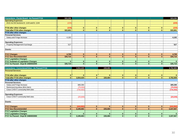| <b>Corrections - Parole Board - As Passed FY16</b>                     | 322,230                      |                       |                              |                         |                              |                          |                              |                              | 322,230                   |
|------------------------------------------------------------------------|------------------------------|-----------------------|------------------------------|-------------------------|------------------------------|--------------------------|------------------------------|------------------------------|---------------------------|
| <b>Operating Expenses:</b>                                             |                              |                       |                              |                         |                              |                          |                              |                              |                           |
| 2015 Act 58 Sections B. 1103 and B. 1104                               | (229)                        |                       |                              |                         |                              |                          |                              |                              | (229)                     |
|                                                                        |                              |                       |                              |                         |                              |                          |                              |                              |                           |
| FY16 after other changes                                               | (229)                        | $\mathbf{0}$          | $\mathbf{0}$                 | $\mathbf{0}$            | $\mathbf{0}$                 | $\bf{0}$                 | $\mathbf{0}$                 | $\mathbf{0}$                 | (229)                     |
| Total after FY16 other changes                                         | 322,001                      | $\mathbf{0}$          | $\mathbf{0}$                 | $\mathbf{0}$            | $\mathbf{0}$                 | $\mathbf{0}$             | $\mathbf{0}$                 | $\mathbf{0}$                 | 322,001                   |
| FY16 after other changes                                               |                              |                       |                              |                         |                              |                          |                              |                              |                           |
| Personal Services:                                                     |                              |                       |                              |                         |                              |                          |                              |                              |                           |
| Salary and Fringe Increase                                             | 4,182                        |                       |                              |                         |                              |                          |                              |                              | 4,182                     |
|                                                                        |                              |                       |                              |                         |                              |                          |                              |                              |                           |
| <b>Operating Expenses:</b>                                             |                              |                       |                              |                         |                              |                          |                              |                              |                           |
| Property Management Surcharge                                          | 527                          |                       |                              |                         |                              |                          |                              |                              | 527                       |
|                                                                        |                              |                       |                              |                         |                              |                          |                              |                              |                           |
| Grants:                                                                |                              |                       |                              |                         |                              |                          |                              |                              |                           |
|                                                                        |                              |                       |                              |                         |                              |                          |                              |                              |                           |
| <b>FY17 Changes</b>                                                    | 4,709                        | $\mathbf{0}$          | $\mathbf{0}$                 | $\mathbf{0}$            | $\mathbf{0}$                 | $\mathbf{0}$             | $\mathbf{0}$                 | $\mathbf{0}$                 | 4,709                     |
| <b>FY17 Gov Recommended</b>                                            | 326,710                      | $\mathbf{0}$          | $\mathbf{0}$                 | $\mathbf{0}$            | $\mathbf{0}$                 | $\mathbf{0}$             | $\mathbf{0}$                 | $\mathbf{0}$                 | 326,710                   |
| <b>FY17 Legislative Changes</b>                                        |                              |                       |                              |                         |                              |                          |                              |                              |                           |
| <b>FY17 Subtotal of Legislative Changes</b>                            | $\mathbf{0}$                 | $\mathbf{0}$          | $\mathbf{0}$                 | $\mathbf{0}$            | $\mathbf{0}$                 | $\mathbf{0}$             | $\mathbf{0}$                 | $\mathbf{0}$                 | $\mathbf{0}$              |
| FY17 As Passed - Dept ID 3480002000                                    | 326,710                      | $\mathbf{0}$          | $\mathbf{0}$                 | $\mathbf{0}$            | $\mathbf{0}$                 | $\mathbf{0}$             | $\mathbf{0}$                 | $\mathbf{0}$                 | 326,710                   |
|                                                                        |                              |                       |                              |                         |                              |                          |                              |                              |                           |
|                                                                        |                              |                       |                              |                         |                              |                          |                              |                              |                           |
| <b>Corrections - Correctional Educ - As Passed FY16</b>                |                              | 3,554,425             |                              | 228,484                 |                              |                          |                              |                              | 3,782,909                 |
| <b>Personal Services:</b>                                              |                              |                       |                              |                         |                              |                          |                              |                              |                           |
|                                                                        |                              |                       |                              |                         |                              |                          |                              |                              |                           |
| FY16 after other changes                                               | $\mathbf{0}$                 | $\mathbf{0}$          | $\mathbf{0}$                 | $\mathbf{0}$            | $\mathbf{0}$                 | $\mathbf{0}$             | $\mathbf{0}$                 | $\mathbf{0}$                 | $\mathbf{0}$              |
| Total after FY16 other changes                                         | $\mathbf{0}$                 | 3,554,425             | $\mathbf{0}$                 | 228,484                 | $\mathbf{0}$                 | $\mathbf{0}$             | $\mathbf{0}$                 | $\mathbf{0}$                 | 3,782,909                 |
| FY16 after other changes                                               |                              |                       |                              |                         |                              |                          |                              |                              |                           |
| Personal Services:                                                     |                              |                       |                              |                         |                              |                          |                              |                              |                           |
| Salary and Fringe Increase                                             |                              | 389,390               |                              |                         |                              |                          |                              |                              | 389,390                   |
| Retirement Incentive (BAA Item)                                        |                              | (79, 304)             |                              |                         |                              |                          |                              |                              | (79, 304)                 |
| Close CHSVT community field sites                                      |                              | (734, 402)            |                              |                         |                              |                          |                              |                              | (734, 402)                |
|                                                                        |                              |                       |                              |                         |                              |                          |                              |                              |                           |
| <b>Operating Expenses:</b>                                             |                              |                       |                              |                         |                              |                          |                              |                              |                           |
| Close CHSVT community field sites                                      |                              | (20, 646)             |                              |                         |                              |                          |                              |                              | (20, 646)                 |
|                                                                        |                              |                       |                              |                         |                              |                          |                              |                              |                           |
| Grants:                                                                |                              |                       |                              |                         |                              |                          |                              |                              |                           |
|                                                                        |                              |                       |                              |                         |                              |                          |                              |                              |                           |
| <b>FY17 Changes</b>                                                    | $\mathbf{0}$                 | (444, 962)            | $\mathbf{0}$                 | $\mathbf{0}$            | $\mathbf{0}$                 | $\mathbf{0}$             | $\mathbf{0}$                 | $\mathbf{0}$                 | (444, 962)                |
| <b>FY17 Gov Recommended</b>                                            | $\mathbf{0}$                 | 3,109,463             | $\mathbf{0}$                 | 228,484                 | $\mathbf{0}$                 | $\mathbf{0}$             | $\mathbf{0}$                 | $\mathbf{0}$                 | 3,337,947                 |
| <b>FY17 Legislative Changes</b>                                        |                              |                       |                              |                         |                              |                          |                              |                              |                           |
| <b>FY17 Legislative Changes</b><br>FY17 As Passed - Dept ID 3480003000 | $\mathbf{0}$<br>$\mathbf{0}$ | $\bf{0}$<br>3.109.463 | $\mathbf{0}$<br>$\mathbf{0}$ | $\mathbf{0}$<br>228.484 | $\mathbf{0}$<br>$\mathbf{0}$ | $\bf{0}$<br>$\mathbf{0}$ | $\mathbf{0}$<br>$\mathbf{0}$ | $\mathbf{0}$<br>$\mathbf{0}$ | $\mathbf{0}$<br>3,337,947 |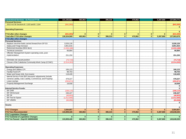| <b>Correctional Services - As Passed FY16</b>                | 131,165,662  | 483.963      |              | 396,315      |              | 470.962      |              | 5,387,869    | 137,904,771  |
|--------------------------------------------------------------|--------------|--------------|--------------|--------------|--------------|--------------|--------------|--------------|--------------|
| <b>Personal Services:</b>                                    |              |              |              |              |              |              |              |              |              |
| 2015 Act 58 Sections B. 1103 and B. 1104                     | (841,093)    |              |              |              |              |              |              |              | (841,093)    |
|                                                              |              |              |              |              |              |              |              |              | $\bf{0}$     |
| <b>Operating Expenses:</b>                                   |              |              |              |              |              |              |              |              |              |
|                                                              |              |              |              |              |              |              |              |              | $\mathbf{0}$ |
| FY16 after other changes                                     | (841,093)    | $\mathbf{0}$ | $\mathbf{0}$ | $\mathbf{0}$ | $\mathbf{0}$ | $\mathbf{0}$ | $\mathbf{0}$ | $\mathbf{0}$ | (841,093)    |
| <b>Total after FY16 other changes</b>                        | 130,324,569  | 483,963      | $\mathbf{0}$ | 396,315      | $\mathbf{0}$ | 470,962      | $\mathbf{0}$ | 5,387,869    | 137,063,678  |
| FY16 after other changes                                     |              |              |              |              |              |              |              |              |              |
| <b>Personal Services:</b>                                    |              |              |              |              |              |              |              |              |              |
| Replace one-time funds carried forward from SFY15            | 3,526,126    |              |              |              |              |              |              |              | 3,526,126    |
| Salary and Fringe Increase                                   | 3,851,816    |              |              |              |              |              |              |              | 3,851,816    |
| Retirement Incentive (BAA Item)                              | (1,033,188)  |              |              |              |              |              |              |              | (1,033,188)  |
| Technical correction                                         | 66.884       |              |              |              |              |              |              |              | 66,884       |
| Offender Management System operating costs, post-            |              |              |              |              |              |              |              |              |              |
| implementation                                               | 251,250      |              |              |              |              |              |              |              | 251,250      |
|                                                              |              |              |              |              |              |              |              |              |              |
| Eliminate one vacant position                                | (73, 719)    |              |              |              |              |              |              |              | (73, 719)    |
| Closure of the Caledonia Community Work Camp (CCWC)          | (2,514,263)  |              |              |              |              |              |              |              | (2,514,263)  |
|                                                              |              |              |              |              |              |              |              |              |              |
| <b>Operating Expenses:</b>                                   |              |              |              |              |              |              |              |              |              |
| Energy and Utilities CPI                                     | 166,123      |              |              |              |              |              |              |              | 166,123      |
| Facility Food CPI                                            | 98,703       |              |              |              |              |              |              |              | 98,703       |
| Water and Sewer (info. from towns)                           | 118,426      |              |              |              |              |              |              |              | 118,426      |
| Internal Service Fund (ISF) Insurance adjustments (include   |              |              |              |              |              |              |              |              |              |
| General Liability, Auto Liability, Commercial, and Property) | 478,227      |              |              |              |              |              |              |              | 478,227      |
| Lease savings                                                | (293, 871)   |              |              |              |              |              |              |              | (293, 871)   |
| <b>Property Management Surcharge</b>                         | 18,558       |              |              |              |              |              |              |              | 18,558       |
|                                                              |              |              |              |              |              |              |              |              | $\mathbf 0$  |
| <b>Internal Service Funds:</b>                               |              |              |              |              |              |              |              |              | $\mathbf 0$  |
| <b>ISF DHR</b>                                               | (168, 115)   |              |              |              |              |              |              |              | (168, 115)   |
| <b>ISF DII Demand</b>                                        | 246.427      |              |              |              |              |              |              |              | 246,427      |
| <b>ISF DII</b>                                               | (48, 803)    |              |              |              |              |              |              |              | (48, 803)    |
| <b>ISF Fee for Space</b>                                     | (1,012,666)  |              |              |              |              |              |              |              | (1,012,666)  |
| <b>ISF VISION</b>                                            | (93,058)     |              |              |              |              |              |              |              | (93,058)     |
|                                                              |              |              |              |              |              |              |              |              | $\mathbf 0$  |
| Grants:                                                      |              |              |              |              |              |              |              |              |              |
|                                                              |              |              |              |              |              |              |              |              | $\mathbf{0}$ |
| <b>FY17 Changes</b>                                          | 3,584,857    | $\mathbf{0}$ | $\mathbf{0}$ | $\mathbf{0}$ | $\bf{0}$     | $\bf{0}$     | $\mathbf{0}$ | $\mathbf{0}$ | 3,584,857    |
| <b>FY17 Gov Recommended</b>                                  | 133,909,426  | 483,963      | $\mathbf{0}$ | 396,315      | $\mathbf{0}$ | 470.962      | $\mathbf{0}$ | 5,387,869    | 140,648,535  |
| <b>FY17 Legislative Changes</b>                              |              |              |              |              |              |              |              |              |              |
| <b>FY17 Subtotal of Legislative Changes</b>                  | $\mathbf{0}$ | $\mathbf{0}$ | $\mathbf{0}$ | $\mathbf{0}$ | $\bf{0}$     | $\bf{0}$     | $\mathbf{0}$ | $\mathbf{0}$ | $\bf{0}$     |
| FY17 As Passed - Dept ID 3480004000                          | 133,909,426  | 483,963      | $\mathbf{0}$ | 396,315      | $\mathbf{0}$ | 470.962      | $\mathbf{0}$ | 5,387,869    | 140,648,535  |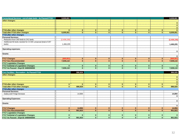| <b>Correctional Services - out-of-state beds - As Passed FY16</b> | 8,009,061    |              |              |              |              |              |              |              | 8,009,061       |
|-------------------------------------------------------------------|--------------|--------------|--------------|--------------|--------------|--------------|--------------|--------------|-----------------|
| other changes:                                                    |              |              |              |              |              |              |              |              |                 |
|                                                                   |              |              |              |              |              |              |              |              | $\bullet$       |
|                                                                   |              |              |              |              |              |              |              |              | $\overline{0}$  |
|                                                                   |              |              |              |              |              |              |              |              | $\mathbf{0}$    |
| FY16 after other changes                                          | $\mathbf{0}$ | $\mathbf{0}$ | $\bf{0}$     | $\mathbf{0}$ | $\mathbf{0}$ | $\mathbf{0}$ | $\mathbf{0}$ | $\mathbf{0}$ | $\overline{0}$  |
| <b>Total after FY16 other changes</b>                             | 8,009,061    | $\mathbf{0}$ | $\mathbf{0}$ | $\mathbf{0}$ | $\mathbf{0}$ | $\mathbf{0}$ | $\mathbf{0}$ | $\mathbf{0}$ | 8,009,061       |
| FY16 after other changes                                          |              |              |              |              |              |              |              |              |                 |
| <b>Personal Services:</b>                                         |              |              |              |              |              |              |              |              |                 |
| Reduction from 340 beds to 241 beds                               | (2,436,156)  |              |              |              |              |              |              |              | (2,436,156)     |
| Additional 56 beds needed for CCWC proposal (total of 297         |              |              |              |              |              |              |              |              |                 |
| beds)                                                             | 1,466,205    |              |              |              |              |              |              |              | 1,466,205       |
|                                                                   |              |              |              |              |              |              |              |              |                 |
| <b>Operating expenses:</b>                                        |              |              |              |              |              |              |              |              |                 |
|                                                                   |              |              |              |              |              |              |              |              | $\mathbf{0}$    |
| Grants:                                                           |              |              |              |              |              |              |              |              |                 |
|                                                                   |              |              |              |              |              |              |              |              | $\mathbf{0}$    |
| <b>FY17 Changes</b>                                               | (969, 951)   | $\mathbf{0}$ | $\mathbf{0}$ | $\mathbf{0}$ | $\mathbf{0}$ | $\mathbf{0}$ | $\mathbf{0}$ | $\mathbf{0}$ | (969, 951)      |
| <b>FY17 Gov Recommended</b>                                       | 7,039,110    | $\mathbf{0}$ | $\bf{0}$     | $\mathbf{0}$ | $\mathbf{0}$ | $\mathbf{0}$ | $\mathbf{0}$ | $\mathbf{0}$ | 7,039,110       |
| <b>FY17 Legislative Changes</b>                                   |              |              |              |              |              |              |              |              |                 |
| <b>FY17 Subtotal of Legislative Changes</b>                       | $\mathbf{0}$ | $\mathbf{0}$ | $\bf{0}$     | $\mathbf{0}$ | $\mathbf{0}$ | $\bf{0}$     | $\mathbf{0}$ | $\mathbf{0}$ | $\overline{0}$  |
| FY17 As Passed - Dept ID 3480006000                               | 7,039,110    | $\mathbf{0}$ | $\mathbf{0}$ | $\mathbf{0}$ | $\mathbf{0}$ | $\mathbf{0}$ | $\mathbf{0}$ | $\mathbf{0}$ | 7,039,110       |
|                                                                   |              |              |              |              |              |              |              |              |                 |
| <b>Corr Facilities - Recreation - As Passed FY16</b>              |              | 886,929      |              |              |              |              |              |              | 886,929         |
| other changes:                                                    |              |              |              |              |              |              |              |              |                 |
|                                                                   |              |              |              |              |              |              |              |              | $\mathbf{0}$    |
|                                                                   |              |              |              |              |              |              |              |              | $\mathbf{0}$    |
|                                                                   |              |              |              |              |              |              |              |              | $\vert 0 \vert$ |
| FY16 after other changes                                          | $\mathbf{0}$ | $\mathbf{0}$ | $\mathbf{0}$ | $\mathbf{0}$ | $\mathbf{0}$ | $\mathbf{0}$ | $\mathbf{0}$ | $\mathbf{0}$ | $\vert 0 \vert$ |
| <b>Total after FY16 other changes</b>                             | $\mathbf{0}$ | 886,929      | $\mathbf{0}$ | $\mathbf{0}$ | $\mathbf{0}$ | $\mathbf{0}$ | $\mathbf{0}$ | $\mathbf{0}$ | 886,929         |
| FY16 after other changes                                          |              |              |              |              |              |              |              |              |                 |
| <b>Personal Services:</b>                                         |              |              |              |              |              |              |              |              |                 |
| Salary and Fringe Increase                                        |              | 14.994       |              |              |              |              |              |              | 14,994          |
|                                                                   |              |              |              |              |              |              |              |              | $\mathbf{0}$    |
| <b>Operating Expenses:</b>                                        |              |              |              |              |              |              |              |              |                 |
|                                                                   |              |              |              |              |              |              |              |              | $\mathbf{0}$    |
| Grants:                                                           |              |              |              |              |              |              |              |              |                 |
|                                                                   |              |              |              |              |              |              |              |              | $\mathbf{0}$    |
| <b>FY17 Changes</b>                                               | $\mathbf{0}$ | 14,994       | $\bf{0}$     | $\mathbf{0}$ | $\mathbf{0}$ | $\mathbf{0}$ | $\mathbf{0}$ | $\mathbf{0}$ | 14,994          |
| <b>FY17 Gov Recommended</b>                                       | $\mathbf{0}$ | 901,923      | $\bf{0}$     | $\mathbf{0}$ | $\mathbf{0}$ | $\mathbf{0}$ | $\mathbf{0}$ | $\mathbf{0}$ | 901,923         |
| <b>FY17 Legislative Changes</b>                                   |              |              |              |              |              |              |              |              |                 |
| <b>FY17 Subtotal of Legislative Changes</b>                       | $\mathbf{0}$ | $\mathbf{0}$ | $\bf{0}$     | $\bf{0}$     | $\mathbf{0}$ | $\bf{0}$     | $\bf{0}$     | $\mathbf{0}$ | $\mathbf{0}$    |
| FY17 As Passed - Dept ID 3480005000                               | $\mathbf{0}$ | 901.923      | $\mathbf{0}$ | $\mathbf{0}$ | $\mathbf{0}$ | $\mathbf{0}$ | $\mathbf{0}$ | $\mathbf{0}$ | 901,923         |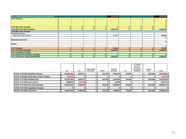| Corr.-Vermont Offender Work Program-As Passed FY16 |                         |              |              |              | 1,816,195    |              |              |              | 1,816,195    |
|----------------------------------------------------|-------------------------|--------------|--------------|--------------|--------------|--------------|--------------|--------------|--------------|
| other changes:                                     |                         |              |              |              |              |              |              |              |              |
|                                                    |                         |              |              |              |              |              |              |              |              |
|                                                    |                         |              |              |              |              |              |              |              |              |
|                                                    |                         |              |              |              |              |              |              |              | $\mathbf{0}$ |
| <b>FY16 after other changes</b>                    | $\mathbf{0}$            | $\mathbf{0}$ | $\Omega$     | $\Omega$     | $\mathbf{0}$ | $\bf{0}$     | $\bf{0}$     | n            | $\bf{0}$     |
| Total after FY16 other changes                     | $\mathbf{0}$            | $\bf{0}$     | $\bf{0}$     | $\mathbf{0}$ | 1,816,195    | $\bf{0}$     | $\mathbf{0}$ | $\mathbf{0}$ | 1,816,195    |
| FY16 after other changes                           |                         |              |              |              |              |              |              |              |              |
| <b>Personal Services:</b>                          |                         |              |              |              |              |              |              |              |              |
| Salary and Fringe Increase                         |                         |              |              |              | 91,840       |              |              |              | 91,840       |
|                                                    |                         |              |              |              |              |              |              |              |              |
| <b>Operating Expenses:</b>                         |                         |              |              |              |              |              |              |              |              |
|                                                    |                         |              |              |              |              |              |              |              | 0            |
| Grants:                                            |                         |              |              |              |              |              |              |              |              |
|                                                    |                         |              |              |              |              |              |              |              | $\mathbf 0$  |
| <b>FY17 Changes</b>                                | $\mathbf{0}$            | $\bf{0}$     | $\bf{0}$     | $\mathbf{0}$ | 91,840       | $\bf{0}$     | $\bf{0}$     | O            | 91,840       |
| <b>FY17 Gov Recommended</b>                        | $\mathbf{0}$            | $\bf{0}$     | $\mathbf{0}$ | $\mathbf{0}$ | 1,908,035    | $\bf{0}$     | $\bf{0}$     | $\mathbf{0}$ | 1,908,035    |
| <b>FY17 Legislative Changes</b>                    |                         |              |              |              |              |              |              |              |              |
| <b>FY17 Subtotal of Legislative Changes</b>        | $\mathbf{0}$            | $\mathbf{0}$ | $\mathbf{0}$ | $\mathbf{0}$ | $\bf{0}$     | $\bf{0}$     | $\bf{0}$     |              | $\bf{0}$     |
| FY17 As Passed - Dept ID 3675001000                | $\overline{\mathbf{0}}$ | $\bf{0}$     | $\bf{0}$     | $\mathbf{0}$ | 1,908,035    | $\mathbf{0}$ | $\bf{0}$     |              | 1,908,035    |

|                                           | GF          | <b>SF</b>  | <b>State Health</b><br><b>Care Res</b> | ldptT   | Internal<br><b>Service</b> | FF.     | <b>VT Health</b><br>Connect<br>(Portion<br><b>Funded By</b><br>SHCRF) | Invmnt<br>GCF | Total       |
|-------------------------------------------|-------------|------------|----------------------------------------|---------|----------------------------|---------|-----------------------------------------------------------------------|---------------|-------------|
|                                           |             |            |                                        |         |                            |         |                                                                       |               |             |
| TOTAL FY16 DOC Big Bill As Passed         | 142,051,545 | 4,925,317  |                                        | 624.799 | 1.816.195                  | 470.962 |                                                                       | 5.387.869     | 155,276,687 |
| TOTAL FY16 DOC Reductions & other changes | (844.062)   |            |                                        |         |                            |         |                                                                       |               | (844,062)   |
| TOTAL FY17 DOC Starting Point             | 141.207.483 | 4,925,317  |                                        | 624.799 | 1.816.195                  | 470.962 |                                                                       | 5.387.869     | 154,432,625 |
| TOTAL FY17 DOC ups & downs                | 2.889.875   | (429, 968) |                                        |         | 91.840                     |         |                                                                       |               | 2,551,747   |
| TOTAL FY17 DOC Gov Recommended            | 144.097.358 | 4,495,349  |                                        | 624.799 | 1.908.035                  | 470.962 |                                                                       | 5.387.869     | 156,984,372 |
| <b>TOTAL FY17 DOC Legislative Changes</b> |             |            |                                        |         |                            |         |                                                                       |               | 0           |
| ITOTAL FY17 DOC As Passed                 | 144.097.358 | 4,495,349  |                                        | 624.799 | 1.908.035                  | 470.962 |                                                                       | 5.387.869     | 156.984.372 |
|                                           |             |            |                                        |         |                            |         |                                                                       |               |             |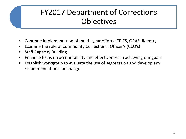# FY2017 Department of Corrections **Objectives**

- Continue implementation of multi –year efforts: EPICS, ORAS, Reentry
- Examine the role of Community Correctional Officer's (CCO's)
- **Staff Capacity Building**
- Enhance focus on accountability and effectiveness in achieving our goals
- Establish workgroup to evaluate the use of segregation and develop any recommendations for change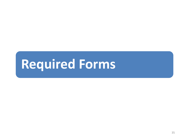# **Required Forms**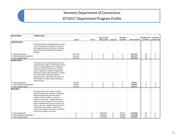## SFY2017 Department Program Profile

| <b>DEPARTMENT:</b>             | <b>CORRECTIONS</b>                               |                    |                    |               |             |             |                  |                |                |
|--------------------------------|--------------------------------------------------|--------------------|--------------------|---------------|-------------|-------------|------------------|----------------|----------------|
|                                |                                                  |                    |                    | Spec F (incl  |             | All other   |                  | Authorized     | <b>Amounts</b> |
|                                |                                                  | GF <sub>\$\$</sub> | TF <sub>\$\$</sub> | tobacco) \$\$ | Fed F \$\$  | funds \$\$  | Total funds \$\$ | positions      | granted out    |
| Administration                 |                                                  |                    |                    |               |             |             |                  |                |                |
|                                | The administration of the Department consists    |                    |                    |               |             |             |                  |                |                |
|                                | of the Commissioner, Deputy Commissioner         |                    |                    |               |             |             |                  |                |                |
|                                | and supporting divisions of Finance, Planning    |                    |                    |               |             |             |                  |                |                |
|                                | and a Legal Division staffed by the Attorney     |                    |                    |               |             |             |                  |                |                |
|                                | General.                                         |                    |                    |               |             |             |                  |                |                |
| FY 2015 expenditures           |                                                  | 2,617,174          | $\mathbf 0$        | 0             | $\mathbf 0$ | 0           | 2,617,174        | 26             | 0              |
| FY 2016 estimated expenditures |                                                  | 2.511.907          | $\mathbf 0$        | $\mathbf 0$   | $\mathbf 0$ | $\mathbf 0$ | 2,511,907        | 31             | $\mathbf 0$    |
| FY 2017 budget request         |                                                  | 2,822,112          | $\mathbf 0$        | $\mathbf 0$   | $\Omega$    | $\mathbf 0$ | 2,822,112        | 30             | $\mathbf 0$    |
| Parole Board                   |                                                  |                    |                    |               |             |             |                  |                |                |
|                                | The board reviews recommendations made by        |                    |                    |               |             |             |                  |                |                |
|                                | the department to grant or revoke parole status, |                    |                    |               |             |             |                  |                |                |
|                                | revoke or release offenders from Supervised      |                    |                    |               |             |             |                  |                |                |
|                                | Community Service (SCS) status, and also         |                    |                    |               |             |             |                  |                |                |
|                                | reviews requests for condition modifications,    |                    |                    |               |             |             |                  |                |                |
|                                | reprimands, and for early termination of parole. |                    |                    |               |             |             |                  |                |                |
|                                | The Parole Board reviews all inmates in          |                    |                    |               |             |             |                  |                |                |
|                                | statutory reviews, and makes site visits to in-  |                    |                    |               |             |             |                  |                |                |
|                                | state facilities to perform parole hearings as   |                    |                    |               |             |             |                  |                |                |
|                                | required by law.                                 |                    |                    |               |             |             |                  |                |                |
| FY 2015 expenditures           |                                                  | 320,248            | $\mathbf 0$        | $\mathbf 0$   | $\mathbf 0$ | $\mathbf 0$ | 320,248          | $\overline{2}$ | $\mathbf 0$    |
| FY 2016 estimated expenditures |                                                  | 322,001            | $\Omega$           | $\mathbf 0$   | $\mathbf 0$ | $\mathbf 0$ | 322,001          | $\overline{2}$ | $\mathbf 0$    |
| FY 2017 budget request         |                                                  | 326,710            | $\Omega$           | $\Omega$      | $\Omega$    | $\mathbf 0$ | 326,710          | $\overline{2}$ | $\Omega$       |
| Education                      |                                                  |                    |                    |               |             |             |                  |                |                |
|                                | The Community High School of Vermont             |                    |                    |               |             |             |                  |                |                |
|                                | (CHSVT) provides an accredited, coordinated      |                    |                    |               |             |             |                  |                |                |
|                                | and personalized education that assists          |                    |                    |               |             |             |                  |                |                |
|                                | students in their academic, social and           |                    |                    |               |             |             |                  |                |                |
|                                | vocational successes. Through education,         |                    |                    |               |             |             |                  |                |                |
|                                | students in the custody of the Vermont DOC       |                    |                    |               |             |             |                  |                |                |
|                                | obtain knowledge and job skills that they can    |                    |                    |               |             |             |                  |                |                |
|                                | utilize to become contributing member of their   |                    |                    |               |             |             |                  |                |                |
|                                | communities upon release. These skills           |                    |                    |               |             |             |                  |                |                |
|                                | support the reduction of recidivism and add to   |                    |                    |               |             |             |                  |                |                |
|                                | the economic health of our state.                |                    |                    |               |             |             |                  |                |                |
| FY 2015 expenditures           |                                                  | $\mathbf 0$        | $\mathbf 0$        | 3,880,355     | 0           | 99,547      | 3,979,902        | 52             | 0              |
| FY 2016 estimated expenditures |                                                  | $\mathbf 0$        | $\mathbf 0$        | 3,886,204     | $\mathbf 0$ | 228,484     | 4,114,688        | 52             | $\mathbf 0$    |
| FY 2017 budget request         |                                                  | $\mathbf 0$        | $\mathbf 0$        | 3,109,463     | $\mathbf 0$ | 228.484     | 3,337,947        | 34             | $\Omega$       |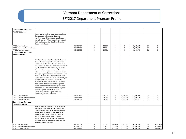## SFY2017 Department Program Profile

| <b>Correctional Services-</b>                            |                                                                                                |                          |                  |                  |                    |                            |                          |            |                            |
|----------------------------------------------------------|------------------------------------------------------------------------------------------------|--------------------------|------------------|------------------|--------------------|----------------------------|--------------------------|------------|----------------------------|
| <b>Facility Services</b>                                 |                                                                                                |                          |                  |                  |                    |                            |                          |            |                            |
|                                                          | Incarceration services to the Vermont criminal                                                 |                          |                  |                  |                    |                            |                          |            |                            |
|                                                          | justice system, in a range of secure                                                           |                          |                  |                  |                    |                            |                          |            |                            |
|                                                          | confinement of violent and repeat offenders of                                                 |                          |                  |                  |                    |                            |                          |            |                            |
|                                                          | the criminal law. There are eight correctional                                                 |                          |                  |                  |                    |                            |                          |            |                            |
|                                                          | facilities in Vermont and additional inmates                                                   |                          |                  |                  |                    |                            |                          |            |                            |
|                                                          | housed out of state.                                                                           |                          |                  |                  |                    |                            |                          |            |                            |
| FY 2015 expenditures                                     |                                                                                                | 68,350,757<br>68,081,635 | 0<br>$\mathsf 0$ | 12,360<br>10,781 | $\mathbf 0$<br>0   | $\mathsf 0$<br>$\mathsf 0$ | 68,363,117<br>68,092,416 | 652<br>652 | $\mathbf 0$<br>$\mathbf 0$ |
| FY 2016 estimated expenditures<br>FY 2017 budget request |                                                                                                | 68,395,589               | $\mathbf 0$      | 10,781           | $\mathbf 0$        | $\mathbf 0$                | 68,406,370               | 628        | $\mathbf 0$                |
| <b>Correctional Services-</b>                            |                                                                                                |                          |                  |                  |                    |                            |                          |            |                            |
|                                                          |                                                                                                |                          |                  |                  |                    |                            |                          |            |                            |
| <b>Field Services</b>                                    |                                                                                                |                          |                  |                  |                    |                            |                          |            |                            |
|                                                          |                                                                                                |                          |                  |                  |                    |                            |                          |            |                            |
|                                                          | Ten field offices, called Probation & Parole (or                                               |                          |                  |                  |                    |                            |                          |            |                            |
|                                                          | P&P) offices manage offenders in Vermont                                                       |                          |                  |                  |                    |                            |                          |            |                            |
|                                                          | communities. The Field Services Division is                                                    |                          |                  |                  |                    |                            |                          |            |                            |
|                                                          | responsible for the supervision of approximately                                               |                          |                  |                  |                    |                            |                          |            |                            |
|                                                          | 7,500 offenders in the community. There are                                                    |                          |                  |                  |                    |                            |                          |            |                            |
|                                                          | fourteen different legal statuses. The legal                                                   |                          |                  |                  |                    |                            |                          |            |                            |
|                                                          | statuses can be grouped as probation, parole,                                                  |                          |                  |                  |                    |                            |                          |            |                            |
|                                                          | furlough, supervised community sentence, and                                                   |                          |                  |                  |                    |                            |                          |            |                            |
|                                                          | home detention. Probation and Parole staff<br>supervise individuals placed on probation by the |                          |                  |                  |                    |                            |                          |            |                            |
|                                                          |                                                                                                |                          |                  |                  |                    |                            |                          |            |                            |
|                                                          | Courts and those awarded parole by the<br>Vermont Parole Board; individuals released           |                          |                  |                  |                    |                            |                          |            |                            |
|                                                          | from a correctional facility on furlough and                                                   |                          |                  |                  |                    |                            |                          |            |                            |
|                                                          | supervised community sentence; individuals                                                     |                          |                  |                  |                    |                            |                          |            |                            |
|                                                          | sentenced to a specified number of days on a                                                   |                          |                  |                  |                    |                            |                          |            |                            |
|                                                          | work crew; and, individuals awaiting                                                           |                          |                  |                  |                    |                            |                          |            |                            |
|                                                          | adjudication who are supervised in the                                                         |                          |                  |                  |                    |                            |                          |            |                            |
|                                                          | community on home detention.                                                                   |                          |                  |                  |                    |                            |                          |            |                            |
| FY 2015 expenditures                                     |                                                                                                | 24.182.863               |                  | 538.371          | $\mathbf 0$        | 2,539,161                  | 27.260.396               | 263        | $\mathbf 0$                |
| FY 2016 estimated expenditures                           |                                                                                                | 24,087,647               |                  | 469,603          | $\mathbf 0$        | 2,662,528                  | 27,219,778               | 263        | $\mathbf 0$                |
| FY 2017 budget request                                   |                                                                                                | 24,251,796               |                  | 469,603          | $\mathbf 0$        | 2,662,528                  | 27,383,927               | 257        | $\mathbf 0$                |
| <b>Correctional Services-</b>                            |                                                                                                |                          |                  |                  |                    |                            |                          |            |                            |
| <b>Central Services</b>                                  |                                                                                                |                          |                  |                  |                    |                            |                          |            |                            |
|                                                          | Central Services consists of multiple entities                                                 |                          |                  |                  |                    |                            |                          |            |                            |
|                                                          | that delver support to the entire department.                                                  |                          |                  |                  |                    |                            |                          |            |                            |
|                                                          | These multiple divisions inclde the Vermont                                                    |                          |                  |                  |                    |                            |                          |            |                            |
|                                                          | Corrections Academy, Human Resource                                                            |                          |                  |                  |                    |                            |                          |            |                            |
|                                                          | Development (HRD), Community Justice                                                           |                          |                  |                  |                    |                            |                          |            |                            |
|                                                          | (including Community Justice Centers,                                                          |                          |                  |                  |                    |                            |                          |            |                            |
|                                                          | transitional housing, and victims services),                                                   |                          |                  |                  |                    |                            |                          |            |                            |
|                                                          | Program Services, Health Services. and the                                                     |                          |                  |                  |                    |                            |                          |            |                            |
|                                                          | offender classification unit.                                                                  | 41,144,759               | 0                | 4,103            |                    |                            | 44,790,526               |            | 9,510,834                  |
| FY 2015 expenditures<br>FY 2016 estimated expenditures   |                                                                                                | 40,982,757               | $\mathbf 0$      | 3,579            | 664,649<br>970,962 | 2,977,015<br>3,121,656     | 45,078,954               | 52<br>52   | 9,719,018                  |
| FY 2017 budget request                                   |                                                                                                | 41,262,041               | $\Omega$         | 3,579            | 470,962            | 3,121,656                  | 44,858,238               | 49         | 9,872,638                  |
|                                                          |                                                                                                |                          |                  |                  |                    |                            |                          |            |                            |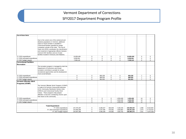## SFY2017 Department Program Profile

| Out-of-State Beds                                      |                                                                                       |             |             |                     |             |             |             |                |             |
|--------------------------------------------------------|---------------------------------------------------------------------------------------|-------------|-------------|---------------------|-------------|-------------|-------------|----------------|-------------|
|                                                        |                                                                                       |             |             |                     |             |             |             |                |             |
|                                                        | Due to the current size of the sentenced and                                          |             |             |                     |             |             |             |                |             |
|                                                        | detainee populations in Vermont, additional                                           |             |             |                     |             |             |             |                |             |
|                                                        | space to house inmates is provided in                                                 |             |             |                     |             |             |             |                |             |
|                                                        | correctional facilities operated by private                                           |             |             |                     |             |             |             |                |             |
|                                                        | companies outside of the state. The Out-of-                                           |             |             |                     |             |             |             |                |             |
|                                                        | State Unit (OOS) coordinates the classification                                       |             |             |                     |             |             |             |                |             |
|                                                        | and movement of appropriate offeners between                                          |             |             |                     |             |             |             |                |             |
|                                                        | Vermont DOC facilities and out of state                                               |             |             |                     |             |             |             |                |             |
|                                                        | facilities located in Kentucky and Alabama.                                           |             |             |                     |             |             |             |                |             |
| FY 2015 expenditures                                   |                                                                                       | 10,859,406  | 0           | $\mathbf 0$         | $\mathbf 0$ | $\mathbf 0$ | 10,859,406  | $\mathbf 0$    | $\mathbf 0$ |
| FY 2016 estimated expenditures                         |                                                                                       | 8,009,061   | 0           | $\mathbf 0$         | $\mathbf 0$ | $\mathbf 0$ | 8,009,061   | $\mathbf 0$    | 0           |
| FY 2017 budget request                                 |                                                                                       | 7,039,110   | 0           | $\mathbf 0$         | $\mathbf 0$ | 0           | 7,039,110   | $\mathbf 0$    | $\mathbf 0$ |
| <b>Correctional Facilities</b>                         |                                                                                       |             |             |                     |             |             |             |                |             |
| Recreation                                             |                                                                                       |             |             |                     |             |             |             |                |             |
|                                                        |                                                                                       |             |             |                     |             |             |             |                |             |
|                                                        | The recreation program is managed by both the<br>Department of Corrections and inmate |             |             |                     |             |             |             |                |             |
|                                                        | recreation committee to provide for inmate                                            |             |             |                     |             |             |             |                |             |
|                                                        | recreational opportunities and the development                                        |             |             |                     |             |             |             |                |             |
|                                                        | of pro-social behavior.                                                               |             |             |                     |             |             |             |                |             |
| FY 2015 expenditures                                   |                                                                                       | $\mathbf 0$ | $\mathbf 0$ | 855,239             | $\mathbf 0$ | $\mathbf 0$ | 855,239     | $\overline{7}$ | $\mathbf 0$ |
| FY 2016 estimated expenditures                         |                                                                                       | $\mathbf 0$ | 0           | 886,929             | $\mathbf 0$ | 0           | 886,929     | $\overline{7}$ | 0           |
| FY 2017 budget request                                 |                                                                                       | $\Omega$    | $\Omega$    | 901,923             | $\Omega$    | $\Omega$    | 901,923     | $\overline{7}$ | $\Omega$    |
| Vermont Offender Work                                  |                                                                                       |             |             |                     |             |             |             |                |             |
| Programs (VOWP)                                        |                                                                                       |             |             |                     |             |             |             |                |             |
|                                                        |                                                                                       |             |             |                     |             |             |             |                |             |
|                                                        | The Vermont Offender Work Programs (VOWP)                                             |             |             |                     |             |             |             |                |             |
|                                                        | is made of of Vermont Correctional Industries                                         |             |             |                     |             |             |             |                |             |
|                                                        | (VCI), Community Restitution Service Units                                            |             |             |                     |             |             |             |                |             |
|                                                        | (CRSU's) and Correctional Facility Work                                               |             |             |                     |             |             |             |                |             |
|                                                        | Camps. These programs help prepare                                                    |             |             |                     |             |             |             |                |             |
|                                                        | offenders to become contributing citizens upon                                        |             |             |                     |             |             |             |                |             |
|                                                        | their return to the community.                                                        | $\mathsf 0$ | 0           | $\mathsf{O}\xspace$ | $\mathsf 0$ | 1,553,426   | 1,553,426   | 14             | 0           |
| FY 2015 expenditures<br>FY 2016 estimated expenditures |                                                                                       | $\mathbf 0$ | 0           | 0                   | $\mathbf 0$ | 1,816,195   | 1,816,195   | 14             | 0           |
| FY 2017 budget request                                 |                                                                                       | $\mathbf 0$ | 0           | $\mathbf 0$         | $\mathbf 0$ | 1,908,035   | 1,908,035   | 14             | 0           |
|                                                        |                                                                                       |             |             |                     |             |             |             |                |             |
|                                                        | <b>Total Department</b>                                                               |             |             |                     |             |             |             |                |             |
|                                                        | FY 2015 expenditures                                                                  | 147,475,207 | $\mathbf 0$ | 5,290,427           | 664,649     | 7,169,150   | 160,599,433 | 1,068          | 9,510,834   |
|                                                        | FY 2016 estimated expenditures                                                        | 143,995,008 | 0           | 5,257,096           | 970,962     | 7,828,863   | 158,051,929 | 1,073          | 9,719,018   |
|                                                        | FY 2017 budget request                                                                | 144,097,358 | 0           | 4,495,349           | 470,962     | 7,920,703   | 156,984,372 | 1,021          | 9,872,638   |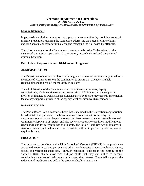*SFY 2017 Governor's Budget Mission, Description of Appropriations, Divisions and Programs & Key Budget Issues*

### **Mission Statement:**

In partnership with the community, we support safe communities by providing leadership in crime prevention, repairing the harm done, addressing the needs of crime victims, ensuring accountability for criminal acts, and managing the risk posed by offenders.

The vision statement for the Department states it more broadly: To be valued by the citizens of Vermont as a partner in the prevention, research, control and treatment of criminal behavior.

### **Description of Appropriations, Divisions and Programs:**

### **ADMINISTRATION**

The Department of Corrections has five basic goals: to involve the community; to address the needs of victims; to restore the community; to ensure that offenders are held responsible; and to keep offenders safely in custody.

The administration of the Department consists of the commissioner, deputy commissioner, administrative services director, financial director and the supporting division of finance, as well as a legal division staffed by the attorney general. Information technology support is provided at the agency level overseen by DOC personnel.

### **PAROLE BOARD**

The Parole Board is an autonomous body that is included in the Corrections appropriation for administrative purposes. The board reviews recommendations made by the department to grant or revoke parole status, revoke or release offenders from Supervised Community Service (SCS) status, and also reviews requests for condition modifications, reprimands, and for early termination of parole. The Parole Board reviews all inmates in statutory reviews, and makes site visits to in-state facilities to perform parole hearings as required by law.

### **EDUCATION**

The purpose of the Community High School of Vermont (CHSVT) is to provide an accredited, coordinated and personalized education that assists students in their academic, social, and vocational successes. Through education, students in the custody of the Vermont DOC obtain knowledge and job skills that they can utilize to become contributing members of their communities upon their release. These skills support the reduction of recidivism and add to the economic health of our state.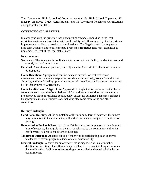The Community High School of Vermont awarded 54 High School Diplomas, 461 Industry Approved Trade Certifications, and 15 Workforce Readiness Certifications during Fiscal Year 2015.

### **CORRECTIONAL SERVICES**

In complying with the principle that placement of offenders should be in the least restrictive environment consistent with public safety and offense severity, the Department implements a gradient of restrictions and freedoms. The "legal status" is a frequently used term which relates to this concept. From most restrictive (and most expensive to implement) to least, these legal statuses are:

### **Incarceration:**

- **Sentenced:** The sentence is confinement to a correctional facility, under the care and custody of the Commissioner.
- **Detained**: A confinement pending court adjudication for a criminal charge or a violation of probation.

**Home Detention:** A program of confinement and supervision that restricts an unsentenced defendant to a pre-approved residence continuously, except for authorized absences, and is enforced by appropriate means of surveillance and electronic monitoring by the Department of Corrections.

**Home Confinement:** A type of Pre-Approved Furlough, that is determined either by the court at sentencing or the Commissioner of Corrections, that restricts the offender to a pre-approved place of residence continuously, except for authorized absences, enforced by appropriate means of supervision, including electronic monitoring and other conditions.

### **Reentry/Furlough:**

- **Conditional Reentry:** At the completion of the minimum term of sentence, the inmate may be released to the community, still under confinement, subject to conditions of furlough.
- **Reintegration Furlough Reentry:** Up to 180 days prior to completion of the minimum term of sentence, the eligible inmate may be released to the community, still under confinement, subject to conditions of furlough.
- **Treatment Furlough:** At status for an offender who is participating in an approved residential treatment program outside of a correction facility.
- **Medical Furlough**: A status for an offender who is diagnosed with a terminal or debilitating condition. The offender may be released to a hospital, hospice, or other licensed inpatient facility, or other housing accommodation deemed suitable by the commissioner.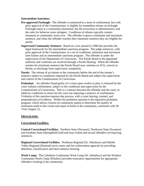### **Intermediate Sanctions:**

- **Pre-approved Furlough:** The offender is sentenced to a term of confinement, but with prior approval of the Commissioner, is eligible for immediate release on furlough. Furlough status is a community placement, but the revocation is administrative, and the rules for behavior more stringent. Conditions of release typically contain treatment or community work crew. The offender is given a minimum and maximum sentence, and when the offender reaches their minimum sentence they are eligible for parole.
- **Supervised Community Sentence:** Based on a law passed in 1990 that provides the legal framework for the intermediate sanctions program. The judge sentences, with prior approval of the Commissioner, to a set of conditions, minimum and maximum time frames and an intermediate sanctions program. The offender is under the supervision of the Department of Corrections. The Parole Board is the appointed authority and violations are resolved through a Parole Hearing. When the offender reaches his minimum sentence the Parole Board may continue on SCS, convert to Parole, or discharge from supervision completely.

**Parole:** The release of an inmate to the community before the end of the inmate's sentence subject to conditions imposed by the Parole Board and subject the supervision and control of the Commissioner of Corrections.

**Probation:** An offender found guilty of a crime upon verdict or plea, is released by the court without confinement, subject to the conditions and supervision by the Commissioner of Corrections. This is a contract between the offender and the court, to abide by conditions in return for the court not imposing a sentence of confinement. Violation of this sanction requires due process, with a court hearing, counsel, and preponderance of evidence. Within the probation sanction is the reparative probation program, which allows citizens on community panels to determine the quality of restitution made to the victim and repair of harm to the community, consistent with 28 VSA Chapter 12.

### **PROGRAMS:**

### **Correctional Facilities:**

**Central Correctional Facilities***:* Northern State [Newport], Northwest State [Swanton] and Southern State [Springfield] hold and treat violent and sexual offenders serving long sentences.

**Regional Correctional Facilities:** Northeast Regional [St. Johnsbury] and Marble Valley Regional [Rutland] serve courts and law enforcement agencies by providing detention, classification and short sentence housing.

**Work Camp:** The Caledonia Community Work Camp [St. Johnsbury] and the Windsor Community Work Camp [Windsor] provides restorative opportunities for appropriate offenders working in the community.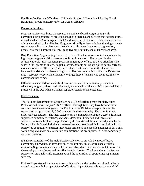**Facilities for Female Offenders:** Chittenden Regional Correctional Facility [South Burlington] provides incarceration for women offenders.

### **Program Services**:

Program services combines the research on evidence based programming with correctional best practice to provide a range of programs and services that address crimerelated need areas (criminogenic needs) and lower the likelihood of recidivism or further criminal conduct by the offender. Programs primarily address criminal thinking and antisocial personality traits. Programs also address substance abuse, sexual aggression, general violence, domestic violence, cognitive skill deficits, and other relevant areas.

Risk Reduction Programming is offered to those offenders who score in the moderate to high range on general risk assessment tools or violence/sex offense specific risk assessment tools. Risk reduction programming may be offered to those offenders who score in the low range on general risk assessment tools but whose risk of harm scores are moderate or above. There is significant evidence that demonstrates the distinction between low risk and moderate to high risk offenders. With this in mind, the Department uses it resources wisely and efficiently to target those offenders who are most likely to commit another crime.

Offenders are entitled to standards of care such as nutrition, sanitation, recreation, education, religion, safety, medical, dental, and mental health care. More detailed data is presented in the Department's annual report on statistics and outcomes.

### **Field Services:**

The Vermont Department of Corrections has 10 field offices across the state, called Probation and Parole (or just "P&P") offices. Through time, they have become more complex than the name suggests. The Field Services Division is responsible for the supervision of approximately 7,500 offenders in the community. There are fourteen different legal statuses. The legal statuses can be grouped as probation, parole, furlough, supervised community sentence, and home detention. Probation and Parole staff supervise individuals placed on probation by the Courts and those awarded parole by the Vermont Parole Board; individuals released from a correctional facility on furlough and supervised community sentence; individuals sentenced to a specified number of days on a work crew; and, individuals awaiting adjudication who are supervised in the community on home detention.

It is the responsibility of the Field Services Division to provide the most effective community supervision of offenders based on best practices research and available resources. Supervision intensity and duration is based on the offender's risk to re-offend, the severity of the offense, and the offender's legal status. The foundations of effective supervision are quality risk assessments and the application of appropriate supervision services.

P&P staff operates with a dual mission; public safety and offender rehabilitation that is carried out through the supervision of offenders. Supervision combines the use of risk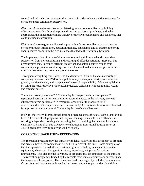control and risk reduction strategies that are vital in order to have positive outcomes for offenders under community supervision.

*Risk control* strategies are directed at deterring future non-compliance by holding offenders accountable through reprimands, warnings, loss of privileges, and, when appropriate, the imposition of more intrusive/restrictive requirements and sanctions, that could include incarceration.

*Risk reduction* strategies are directed at promoting future compliance by assisting the offender through information, education/training, counseling, and/or treatment to bring about positive changes in the circumstances that led to their criminal behavior.

The implementation of purposeful interventions and activities is what distinguishes supervision from mere monitoring and reporting of offender activities. Research has demonstrated that, to reduce offender recidivism and obtain positive results from community supervision, combining risk control and risk reduction strategies is far more effective than selecting one strategy over the other.

Throughout everything that it does, the Field Services Division balances a variety of competing interests. In a P&P office, public safety is always a priority, as is offender growth, positive change, and acceptance of personal responsibility. We accomplish this by using the least restrictive supervision practices, consistent with community, victim, and offender safety.

There are currently a total of 20 Community Justice partnerships that operate 82 reparative boards in 32 host communities across the State. In the last year, over 650 citizen volunteers participated in restorative accountability processes for 391 offenders under DOC supervision and for another 1,800+ individuals who were diverted from prosecution to these local Community Justice Centers/Programs.

In FY15, there were 41 transitional housing programs across the state, with a total of 298 beds. There are also 6 programs that employ Housing Specialists to aid offenders in securing independent housing, and assisting them in retaining that housing for up to a year. In FY15, a total of 569 offenders were housed in transitional housing for over 78,342 bed nights (saving costly prison bed space).

### **CORRECTION FACILITIES - RECREATION**

The recreation program provides inmates with leisure activities that are meant to promote and create a better environment as well as help to prevent idle time. Some examples of the items provided through the recreation programs include gym and cardiovascular equipment, televisions, living unit furniture, incentives, and prizes for various tournaments. This also includes a variety of programs that are important to the inmates. The recreation program is funded by the receipts from inmate commissary purchases and the inmate telephone system. The recreation fund is managed by both the Department of Corrections and inmate committees for inmate recreational opportunities. In addition,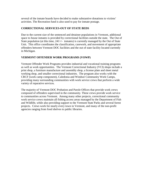several of the inmate boards have decided to make substantive donations to victims' activities. The Recreation fund is also used to pay for inmate postage.

### **CORRECTIONAL SERVICES-OUT OF STATE BEDS**

Due to the current size of the sentenced and detainee populations in Vermont, additional space to house inmates is provided by correctional facilities outside the state. The Out of State population (at this time, 241+/- inmates) is currently managed by the Out of State Unit. This office coordinates the classification, casework, and movement of appropriate offenders between Vermont DOC facilities and the out of state facility located currently in Michigan.

### **VERMONT OFFENDER WORK PROGRAMS (VOWP)**

Vermont Offender Work Programs provides industrial and vocational training programs as well as work opportunities. The Vermont Correctional Industry (VCI) shops include a print shop, a furniture manufacture and assembly shop, a license plate and sheet metal working shop, and smaller correctional industries. The program also works with the CRCF (work camp component), Caledonia and Windsor Community Work Camps, providing many surrounding communities with work service crews that perform a wide variety of reparative services.

The majority of Vermont DOC Probation and Parole Offices that provide work crews composed of offenders supervised in the community. These crews provide work service to communities across Vermont. Among many other projects, correctional community work service crews maintain all fishing access areas managed by the Department of Fish and Wildlife, while also providing support to the Vermont State Parks and several forest projects. Crews work for nearly every town in Vermont, and many of the non-profit agencies ranging from food shelves to public libraries.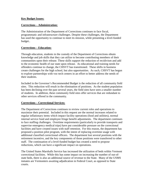### **Key Budget Issues:**

### **Corrections – Administration:**

The Administration of the Department of Corrections continues to face fiscal, programmatic and infrastructure challenges. Despite these challenges, the Department has used the opportunity to continue to meet its mission, while presenting a level-funded budget..

### **Corrections – Education:**

Through education, students in the custody of the Department of Corrections obtain knowledge and job skills that they can utilize to become contributing members of their communities upon their release. These skills support the reduction of recidivism and add to the economic health of our state upon release. As educational and training needs for offenders continue to change, the CHSVT has transitioned. These shifts in business create challenges for the high school, but also opportunities. As such, CHSVT has begun to explore partnerships with voc-tech centers in an effort to better address the needs of their students.

Included in the Governor's Recommended Budget is the reduction of all community field sites. This reduction will result in the elimination of positions. As the student population has been declining over the past several years, the field sites have seen a smaller number of students. In addition, these community field sites offer services that are redundant to other services offered in the community.

### **Corrections – Correctional Services:**

The Department of Corrections continues to review current roles and operations to maximize their potential. Included in this request are the normal increases related to regular inflationary items which impact facility operations (food and utilities), normal internal service fund and employee fringe benefit adjustments. The department continues to face staffing challenges. Overtime requirements (particularly to provide transports and supervise emergency medical trips) have put considerable pressure on the correctional facilities and have created issues with staff retention. For this reason, the department has proposed a position pilot program, with the intent of replacing overtime usage with additional classified correctional officers. The department lost several positions with the retirement incentive, and the key components of those positions were transferred to other staff. The continuation of a level-funded budget has created a need to propose reductions, which can have a significant impact on operations.

The United States Marshalls Service has increased the utilization of beds within Vermont correctional facilities. While this has some impact on increasing the number of out-ofstate beds, there is also an additional source of revenue to the State. Many of the USMS inmates are Vermonters awaiting adjudication in Federal Court, as opposed to State courts.